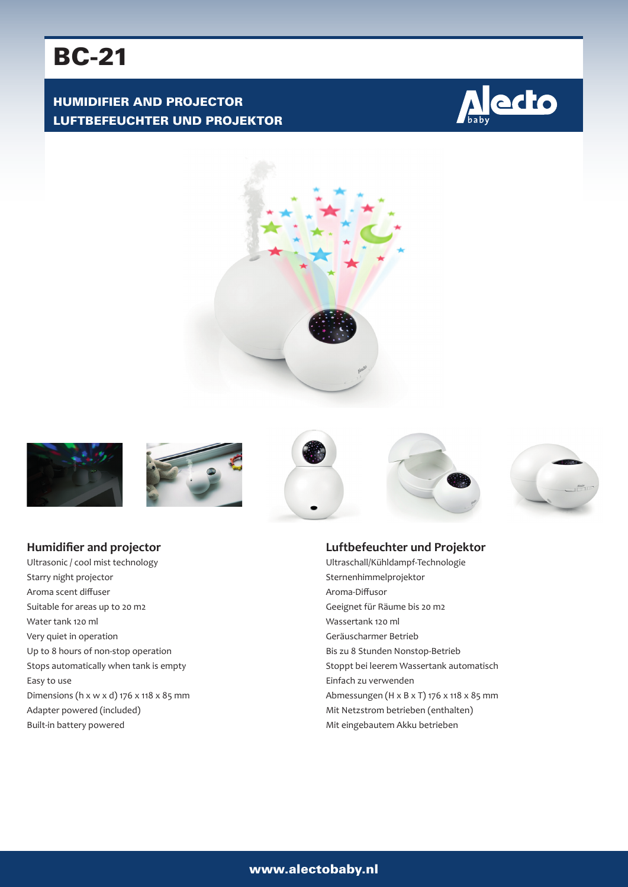# BC-21

# HUMIDIFIER AND PROJECTOR LUFTBEFEUCHTER UND PROJEKTOR















# **Humidifier and projector**

Ultrasonic / cool mist technology Starry night projector Aroma scent diffuser Suitable for areas up to 20 m2 Water tank 120 ml Very quiet in operation Up to 8 hours of non-stop operation Stops automatically when tank is empty Easy to use Dimensions (h x w x d) 176 x 118 x 85 mm Adapter powered (included) Built-in battery powered

#### **Luftbefeuchter und Projektor**

Ultraschall/Kühldampf-Technologie Sternenhimmelprojektor Aroma-Diffusor Geeignet für Räume bis 20 m2 Wassertank 120 ml Geräuscharmer Betrieb Bis zu 8 Stunden Nonstop-Betrieb Stoppt bei leerem Wassertank automatisch Einfach zu verwenden Abmessungen (H x B x T) 176 x 118 x 85 mm Mit Netzstrom betrieben (enthalten) Mit eingebautem Akku betrieben